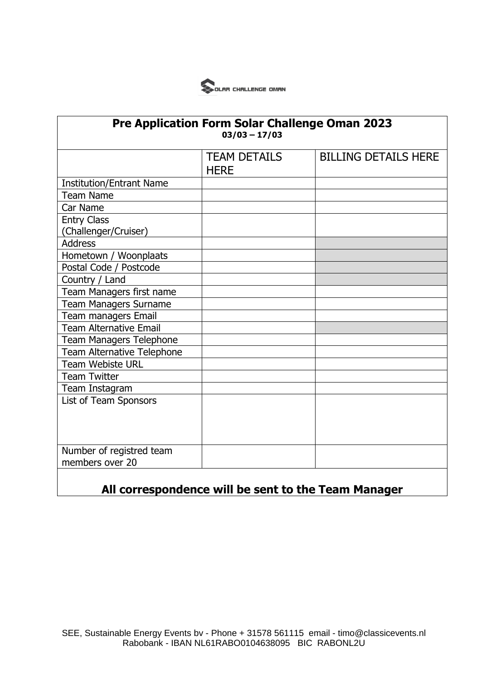

| <b>Pre Application Form Solar Challenge Oman 2023</b><br>$03/03 - 17/03$ |                                    |                             |
|--------------------------------------------------------------------------|------------------------------------|-----------------------------|
|                                                                          | <b>TEAM DETAILS</b><br><b>HERE</b> | <b>BILLING DETAILS HERE</b> |
| <b>Institution/Entrant Name</b>                                          |                                    |                             |
| <b>Team Name</b>                                                         |                                    |                             |
| Car Name                                                                 |                                    |                             |
| <b>Entry Class</b>                                                       |                                    |                             |
| (Challenger/Cruiser)                                                     |                                    |                             |
| <b>Address</b>                                                           |                                    |                             |
| Hometown / Woonplaats                                                    |                                    |                             |
| Postal Code / Postcode                                                   |                                    |                             |
| Country / Land                                                           |                                    |                             |
| Team Managers first name                                                 |                                    |                             |
| <b>Team Managers Surname</b>                                             |                                    |                             |
| Team managers Email                                                      |                                    |                             |
| <b>Team Alternative Email</b>                                            |                                    |                             |
| <b>Team Managers Telephone</b>                                           |                                    |                             |
| Team Alternative Telephone                                               |                                    |                             |
| <b>Team Webiste URL</b>                                                  |                                    |                             |
| <b>Team Twitter</b>                                                      |                                    |                             |
| Team Instagram                                                           |                                    |                             |
| List of Team Sponsors                                                    |                                    |                             |
|                                                                          |                                    |                             |
|                                                                          |                                    |                             |
|                                                                          |                                    |                             |
| Number of registred team                                                 |                                    |                             |
| members over 20                                                          |                                    |                             |
|                                                                          |                                    |                             |

## **All correspondence will be sent to the Team Manager**